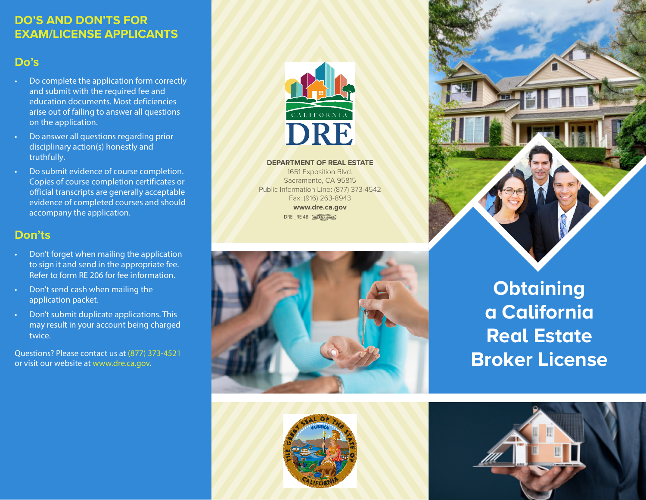## **DO'S AND DON'TS FOR EXAM/LICENSE APPLICANTS**

# **Do's**

- Do complete the application form correctly and submit with the required fee and education documents. Most deficiencies arise out of failing to answer all questions on the application.
- Do answer all questions regarding prior disciplinary action(s) honestly and truthfully.
- Do submit evidence of course completion. Copies of course completion certificates or official transcripts are generally acceptable evidence of completed courses and should accompany the application.

#### **Don'ts**

- Don't forget when mailing the application to sign it and send in the appropriate fee. Refer to form RE 206 for fee information.
- Don't send cash when mailing the application packet.
- Don't submit duplicate applications. This may result in your account being charged twice.

Questions? Please contact us at (877) 373-4521 or visit our website at www.dre.ca.gov.



**DEPARTMENT OF REAL ESTATE**

1651 Exposition Blvd. Sacramento, CA 95815 Public Information Line: (877) 373-4542 Fax: (916) 263-8943 **www.dre.ca.gov** DRE \_RE 4B [UNION LABEL]







**Obtaining a California Real Estate Broker License**